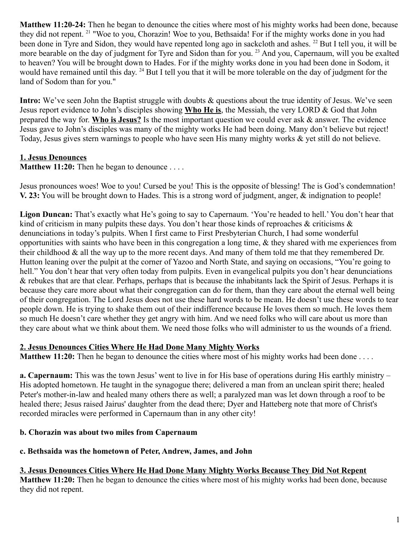**Matthew 11:20-24:** Then he began to denounce the cities where most of his mighty works had been done, because they did not repent. <sup>21</sup> "Woe to you, Chorazin! Woe to you, Bethsaida! For if the mighty works done in you had been done in Tyre and Sidon, they would have repented long ago in sackcloth and ashes. <sup>22</sup> But I tell you, it will be more bearable on the day of judgment for Tyre and Sidon than for you.<sup>23</sup> And you, Capernaum, will you be exalted to heaven? You will be brought down to Hades. For if the mighty works done in you had been done in Sodom, it would have remained until this day. <sup>24</sup> But I tell you that it will be more tolerable on the day of judgment for the land of Sodom than for you."

**Intro:** We've seen John the Baptist struggle with doubts & questions about the true identity of Jesus. We've seen Jesus report evidence to John's disciples showing **Who He is**, the Messiah, the very LORD & God that John prepared the way for. **Who is Jesus?** Is the most important question we could ever ask & answer. The evidence Jesus gave to John's disciples was many of the mighty works He had been doing. Many don't believe but reject! Today, Jesus gives stern warnings to people who have seen His many mighty works & yet still do not believe.

# **1. Jesus Denounces**

**Matthew 11:20:** Then he began to denounce . . . .

Jesus pronounces woes! Woe to you! Cursed be you! This is the opposite of blessing! The is God's condemnation! **V. 23:** You will be brought down to Hades. This is a strong word of judgment, anger, & indignation to people!

**Ligon Duncan:** That's exactly what He's going to say to Capernaum. 'You're headed to hell.' You don't hear that kind of criticism in many pulpits these days. You don't hear those kinds of reproaches & criticisms & denunciations in today's pulpits. When I first came to First Presbyterian Church, I had some wonderful opportunities with saints who have been in this congregation a long time, & they shared with me experiences from their childhood & all the way up to the more recent days. And many of them told me that they remembered Dr. Hutton leaning over the pulpit at the corner of Yazoo and North State, and saying on occasions, "You're going to hell." You don't hear that very often today from pulpits. Even in evangelical pulpits you don't hear denunciations & rebukes that are that clear. Perhaps, perhaps that is because the inhabitants lack the Spirit of Jesus. Perhaps it is because they care more about what their congregation can do for them, than they care about the eternal well being of their congregation. The Lord Jesus does not use these hard words to be mean. He doesn't use these words to tear people down. He is trying to shake them out of their indifference because He loves them so much. He loves them so much He doesn't care whether they get angry with him. And we need folks who will care about us more than they care about what we think about them. We need those folks who will administer to us the wounds of a friend.

## **2. Jesus Denounces Cities Where He Had Done Many Mighty Works**

**Matthew 11:20:** Then he began to denounce the cities where most of his mighty works had been done . . . .

**a. Capernaum:** This was the town Jesus' went to live in for His base of operations during His earthly ministry – His adopted hometown. He taught in the synagogue there; delivered a man from an unclean spirit there; healed Peter's mother-in-law and healed many others there as well; a paralyzed man was let down through a roof to be healed there; Jesus raised Jairus' daughter from the dead there; Dyer and Hatteberg note that more of Christ's recorded miracles were performed in Capernaum than in any other city!

## **b. Chorazin was about two miles from Capernaum**

#### **c. Bethsaida was the hometown of Peter, Andrew, James, and John**

## **3. Jesus Denounces Cities Where He Had Done Many Mighty Works Because They Did Not Repent**

**Matthew 11:20:** Then he began to denounce the cities where most of his mighty works had been done, because they did not repent.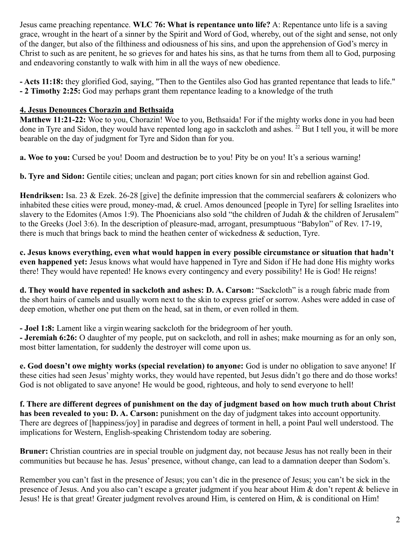Jesus came preaching repentance. **WLC 76: What is repentance unto life?** A: Repentance unto life is a saving grace, wrought in the heart of a sinner by the Spirit and Word of God, whereby, out of the sight and sense, not only of the danger, but also of the filthiness and odiousness of his sins, and upon the apprehension of God's mercy in Christ to such as are penitent, he so grieves for and hates his sins, as that he turns from them all to God, purposing and endeavoring constantly to walk with him in all the ways of new obedience.

**- Acts 11:18:** they glorified God, saying, "Then to the Gentiles also God has granted repentance that leads to life." **- 2 Timothy 2:25:** God may perhaps grant them repentance leading to a knowledge of the truth

### **4. Jesus Denounces Chorazin and Bethsaida**

**Matthew 11:21-22:** Woe to you, Chorazin! Woe to you, Bethsaida! For if the mighty works done in you had been done in Tyre and Sidon, they would have repented long ago in sackcloth and ashes. <sup>22</sup> But I tell you, it will be more bearable on the day of judgment for Tyre and Sidon than for you.

**a. Woe to you:** Cursed be you! Doom and destruction be to you! Pity be on you! It's a serious warning!

**b. Tyre and Sidon:** Gentile cities; unclean and pagan; port cities known for sin and rebellion against God.

**Hendriksen:** Isa. 23 & Ezek. 26-28 [give] the definite impression that the commercial seafarers & colonizers who inhabited these cities were proud, money-mad, & cruel. Amos denounced [people in Tyre] for selling Israelites into slavery to the Edomites (Amos 1:9). The Phoenicians also sold "the children of Judah & the children of Jerusalem" to the Greeks (Joel 3:6). In the description of pleasure-mad, arrogant, presumptuous "Babylon" of Rev. 17-19, there is much that brings back to mind the heathen center of wickedness & seduction, Tyre.

**c. Jesus knows everything, even what would happen in every possible circumstance or situation that hadn't even happened yet:** Jesus knows what would have happened in Tyre and Sidon if He had done His mighty works there! They would have repented! He knows every contingency and every possibility! He is God! He reigns!

**d. They would have repented in sackcloth and ashes: D. A. Carson:** "Sackcloth" is a rough fabric made from the short hairs of camels and usually worn next to the skin to express grief or sorrow. Ashes were added in case of deep emotion, whether one put them on the head, sat in them, or even rolled in them.

**- Joel 1:8:** Lament like a virginwearing sackcloth for the bridegroom of her youth.

**- Jeremiah 6:26:** O daughter of my people, put on sackcloth, and roll in ashes; make mourning as for an only son, most bitter lamentation, for suddenly the destroyer will come upon us.

**e. God doesn't owe mighty works (special revelation) to anyone:** God is under no obligation to save anyone! If these cities had seen Jesus' mighty works, they would have repented, but Jesus didn't go there and do those works! God is not obligated to save anyone! He would be good, righteous, and holy to send everyone to hell!

**f. There are different degrees of punishment on the day of judgment based on how much truth about Christ has been revealed to you: D. A. Carson:** punishment on the day of judgment takes into account opportunity. There are degrees of [happiness/joy] in paradise and degrees of torment in hell, a point Paul well understood. The implications for Western, English-speaking Christendom today are sobering.

**Bruner:** Christian countries are in special trouble on judgment day, not because Jesus has not really been in their communities but because he has. Jesus' presence, without change, can lead to a damnation deeper than Sodom's.

Remember you can't fast in the presence of Jesus; you can't die in the presence of Jesus; you can't be sick in the presence of Jesus. And you also can't escape a greater judgment if you hear about Him & don't repent & believe in Jesus! He is that great! Greater judgment revolves around Him, is centered on Him, & is conditional on Him!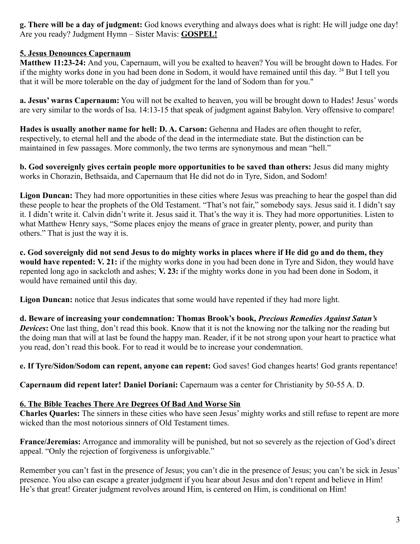**g. There will be a day of judgment:** God knows everything and always does what is right: He will judge one day! Are you ready? Judgment Hymn – Sister Mavis: **GOSPEL!**

## **5. Jesus Denounces Capernaum**

**Matthew 11:23-24:** And you, Capernaum, will you be exalted to heaven? You will be brought down to Hades. For if the mighty works done in you had been done in Sodom, it would have remained until this day. <sup>24</sup> But I tell you that it will be more tolerable on the day of judgment for the land of Sodom than for you."

**a. Jesus' warns Capernaum:** You will not be exalted to heaven, you will be brought down to Hades! Jesus' words are very similar to the words of Isa. 14:13-15 that speak of judgment against Babylon. Very offensive to compare!

**Hades is usually another name for hell: D. A. Carson:** Gehenna and Hades are often thought to refer, respectively, to eternal hell and the abode of the dead in the intermediate state. But the distinction can be maintained in few passages. More commonly, the two terms are synonymous and mean "hell."

**b. God sovereignly gives certain people more opportunities to be saved than others:** Jesus did many mighty works in Chorazin, Bethsaida, and Capernaum that He did not do in Tyre, Sidon, and Sodom!

**Ligon Duncan:** They had more opportunities in these cities where Jesus was preaching to hear the gospel than did these people to hear the prophets of the Old Testament. "That's not fair," somebody says. Jesus said it. I didn't say it. I didn't write it. Calvin didn't write it. Jesus said it. That's the way it is. They had more opportunities. Listen to what Matthew Henry says, "Some places enjoy the means of grace in greater plenty, power, and purity than others." That is just the way it is.

**c. God sovereignly did not send Jesus to do mighty works in places where if He did go and do them, they would have repented: V. 21:** if the mighty works done in you had been done in Tyre and Sidon, they would have repented long ago in sackcloth and ashes; **V. 23:** if the mighty works done in you had been done in Sodom, it would have remained until this day.

Ligon Duncan: notice that Jesus indicates that some would have repented if they had more light.

**d. Beware of increasing your condemnation: Thomas Brook's book,** *Precious Remedies Against Satan's Devices***:** One last thing, don't read this book. Know that it is not the knowing nor the talking nor the reading but the doing man that will at last be found the happy man. Reader, if it be not strong upon your heart to practice what you read, don't read this book. For to read it would be to increase your condemnation.

**e. If Tyre/Sidon/Sodom can repent, anyone can repent:** God saves! God changes hearts! God grants repentance!

**Capernaum did repent later! Daniel Doriani:** Capernaum was a center for Christianity by 50-55 A. D.

## **6. The Bible Teaches There Are Degrees Of Bad And Worse Sin**

**Charles Quarles:** The sinners in these cities who have seen Jesus' mighty works and still refuse to repent are more wicked than the most notorious sinners of Old Testament times.

**France/Jeremias:** Arrogance and immorality will be punished, but not so severely as the rejection of God's direct appeal. "Only the rejection of forgiveness is unforgivable."

Remember you can't fast in the presence of Jesus; you can't die in the presence of Jesus; you can't be sick in Jesus' presence. You also can escape a greater judgment if you hear about Jesus and don't repent and believe in Him! He's that great! Greater judgment revolves around Him, is centered on Him, is conditional on Him!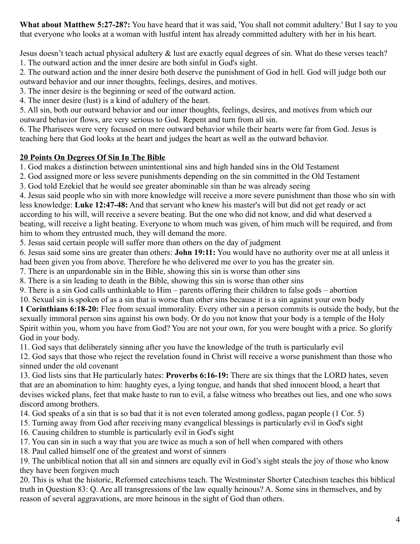**What about Matthew 5:27-28?:** You have heard that it was said, 'You shall not commit adultery.' But I say to you that everyone who looks at a woman with lustful intent has already committed adultery with her in his heart.

Jesus doesn't teach actual physical adultery & lust are exactly equal degrees of sin. What do these verses teach? 1. The outward action and the inner desire are both sinful in God's sight.

2. The outward action and the inner desire both deserve the punishment of God in hell. God will judge both our outward behavior and our inner thoughts, feelings, desires, and motives.

3. The inner desire is the beginning or seed of the outward action.

4. The inner desire (lust) is a kind of adultery of the heart.

5. All sin, both our outward behavior and our inner thoughts, feelings, desires, and motives from which our outward behavior flows, are very serious to God. Repent and turn from all sin.

6. The Pharisees were very focused on mere outward behavior while their hearts were far from God. Jesus is teaching here that God looks at the heart and judges the heart as well as the outward behavior.

# **20 Points On Degrees Of Sin In The Bible**

1. God makes a distinction between unintentional sins and high handed sins in the Old Testament

2. God assigned more or less severe punishments depending on the sin committed in the Old Testament

3. God told Ezekiel that he would see greater abominable sin than he was already seeing

4. Jesus said people who sin with more knowledge will receive a more severe punishment than those who sin with less knowledge: **Luke 12:47-48:** And that servant who knew his master's will but did not get ready or act according to his will, will receive a severe beating. But the one who did not know, and did what deserved a beating, will receive a light beating. Everyone to whom much was given, of him much will be required, and from him to whom they entrusted much, they will demand the more.

5. Jesus said certain people will suffer more than others on the day of judgment

6. Jesus said some sins are greater than others: **John 19:11:** You would have no authority over me at all unless it had been given you from above. Therefore he who delivered me over to you has the greater sin.

7. There is an unpardonable sin in the Bible, showing this sin is worse than other sins

8. There is a sin leading to death in the Bible, showing this sin is worse than other sins

9. There is a sin God calls unthinkable to Him – parents offering their children to false gods – abortion

10. Sexual sin is spoken of as a sin that is worse than other sins because it is a sin against your own body

**1 Corinthians 6:18-20:** Flee from sexual immorality. Every other sin a person commits is outside the body, but the sexually immoral person sins against his own body. Or do you not know that your body is a temple of the Holy Spirit within you, whom you have from God? You are not your own, for you were bought with a price. So glorify God in your body.

11. God says that deliberately sinning after you have the knowledge of the truth is particularly evil

12. God says that those who reject the revelation found in Christ will receive a worse punishment than those who sinned under the old covenant

13. God lists sins that He particularly hates: **Proverbs 6:16-19:** There are six things that the LORD hates, seven that are an abomination to him: haughty eyes, a lying tongue, and hands that shed innocent blood, a heart that devises wicked plans, feet that make haste to run to evil, a false witness who breathes out lies, and one who sows discord among brothers.

14. God speaks of a sin that is so bad that it is not even tolerated among godless, pagan people (1 Cor. 5)

15. Turning away from God after receiving many evangelical blessings is particularly evil in God's sight

16. Causing children to stumble is particularly evil in God's sight

17. You can sin in such a way that you are twice as much a son of hell when compared with others

18. Paul called himself one of the greatest and worst of sinners

19. The unbiblical notion that all sin and sinners are equally evil in God's sight steals the joy of those who know they have been forgiven much

20. This is what the historic, Reformed catechisms teach. The Westminster Shorter Catechism teaches this biblical truth in Question 83: Q. Are all transgressions of the law equally heinous? A. Some sins in themselves, and by reason of several aggravations, are more heinous in the sight of God than others.